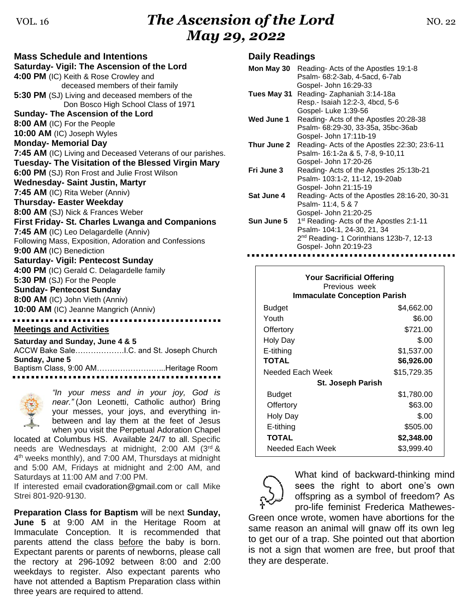# VOL. 16*The Ascension of the Lord* NO. 22 *May 29, 2022*

**Mass Schedule and Intentions Saturday- Vigil: The Ascension of the Lord 4:00 PM** (IC) Keith & Rose Crowley and deceased members of their family **5:30 PM** (SJ) Living and deceased members of the Don Bosco High School Class of 1971 **Sunday- The Ascension of the Lord 8:00 AM** (IC) For the People **10:00 AM** (IC) Joseph Wyles **Monday- Memorial Day 7:45 AM** (IC) Living and Deceased Veterans of our parishes. **Tuesday- The Visitation of the Blessed Virgin Mary 6:00 PM** (SJ) Ron Frost and Julie Frost Wilson **Wednesday- Saint Justin, Martyr 7:45 AM** (IC) Rita Weber (Anniv) **Thursday- Easter Weekday 8:00 AM** (SJ) Nick & Frances Weber **First Friday- St. Charles Lwanga and Companions 7:45 AM** (IC) Leo Delagardelle (Anniv) Following Mass, Exposition, Adoration and Confessions **9:00 AM** (IC) Benediction **Saturday- Vigil: Pentecost Sunday 4:00 PM** (IC) Gerald C. Delagardelle family **5:30 PM** (SJ) For the People **Sunday- Pentecost Sunday 8:00 AM** (IC) John Vieth (Anniv) **10:00 AM** (IC) Jeanne Mangrich (Anniv) **Meetings and Activities**

#### **Saturday and Sunday, June 4 & 5**

| Baptism Class, 9:00 AMHeritage Room |
|-------------------------------------|
|                                     |
|                                     |



*"In your mess and in your joy, God is near."* (Jon Leonetti, Catholic author) Bring your messes, your joys, and everything inbetween and lay them at the feet of Jesus when you visit the Perpetual Adoration Chapel

located at Columbus HS. Available 24/7 to all. Specific needs are Wednesdays at midnight, 2:00 AM (3rd & 4<sup>th</sup> weeks monthly), and 7:00 AM, Thursdays at midnight and 5:00 AM, Fridays at midnight and 2:00 AM, and Saturdays at 11:00 AM and 7:00 PM.

If interested email [cvadoration@gmail.com](mailto:cvadoration@gmail.com) or call Mike Strei 801-920-9130.

**Preparation Class for Baptism** will be next **Sunday, June 5** at 9:00 AM in the Heritage Room at Immaculate Conception. It is recommended that parents attend the class before the baby is born. Expectant parents or parents of newborns, please call the rectory at 296-1092 between 8:00 and 2:00 weekdays to register. Also expectant parents who have not attended a Baptism Preparation class within three years are required to attend.

### **Daily Readings**

| Mon May 30  | Reading-Acts of the Apostles 19:1-8                  |
|-------------|------------------------------------------------------|
|             | Psalm- 68:2-3ab, 4-5acd, 6-7ab                       |
|             | Gospel- John 16:29-33                                |
| Tues May 31 | Reading-Zaphaniah 3:14-18a                           |
|             | Resp.- Isaiah 12:2-3, 4bcd, 5-6                      |
|             | Gospel-Luke 1:39-56                                  |
| Wed June 1  | Reading- Acts of the Apostles 20:28-38               |
|             | Psalm- 68:29-30, 33-35a, 35bc-36ab                   |
|             | Gospel- John 17:11b-19                               |
| Thur June 2 | Reading-Acts of the Apostles 22:30; 23:6-11          |
|             | Psalm- 16:1-2a & 5, 7-8, 9-10,11                     |
|             | Gospel- John 17:20-26                                |
| Fri June 3  | Reading-Acts of the Apostles 25:13b-21               |
|             | Psalm- 103:1-2, 11-12, 19-20ab                       |
|             | Gospel- John 21:15-19                                |
| Sat June 4  | Reading-Acts of the Apostles 28:16-20, 30-31         |
|             | Psalm- 11:4, 5 & 7                                   |
|             | Gospel- John 21:20-25                                |
| Sun June 5  | 1 <sup>st</sup> Reading- Acts of the Apostles 2:1-11 |
|             | Psalm- 104:1, 24-30, 21, 34                          |
|             | 2 <sup>nd</sup> Reading- 1 Corinthians 123b-7, 12-13 |
|             | Gospel- John 20:19-23                                |

| <b>Your Sacrificial Offering</b><br>Previous week<br><b>Immaculate Conception Parish</b> |             |  |  |
|------------------------------------------------------------------------------------------|-------------|--|--|
| Budget                                                                                   | \$4,662.00  |  |  |
| Youth                                                                                    | \$6.00      |  |  |
| Offertory                                                                                | \$721.00    |  |  |
| Holy Day                                                                                 | \$.00       |  |  |
| E-tithing                                                                                | \$1,537.00  |  |  |
| <b>TOTAL</b>                                                                             | \$6,926.00  |  |  |
| Needed Each Week                                                                         | \$15,729.35 |  |  |
| <b>St. Joseph Parish</b>                                                                 |             |  |  |
| Budget                                                                                   | \$1,780.00  |  |  |
| Offertory                                                                                | \$63.00     |  |  |
| Holy Day                                                                                 | \$.00       |  |  |
| E-tithing                                                                                | \$505.00    |  |  |
| <b>TOTAL</b>                                                                             | \$2,348.00  |  |  |
| Needed Each Week                                                                         | \$3,999.40  |  |  |



What kind of backward-thinking mind sees the right to abort one's own offspring as a symbol of freedom? As pro-life feminist Frederica Mathewes-

Green once wrote, women have abortions for the same reason an animal will gnaw off its own leg to get our of a trap. She pointed out that abortion is not a sign that women are free, but proof that they are desperate.